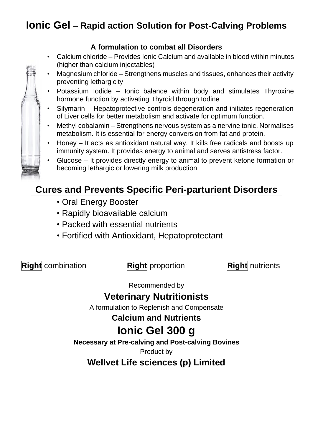# **Ionic Gel – Rapid action Solution for Post-Calving Problems**

### **A formulation to combat all Disorders**

- Calcium chloride Provides Ionic Calcium and available in blood within minutes (higher than calcium injectables)
- Magnesium chloride Strengthens muscles and tissues, enhances their activity preventing lethargicity
- Potassium Iodide Ionic balance within body and stimulates Thyroxine hormone function by activating Thyroid through Iodine
- Silymarin Hepatoprotective controls degeneration and initiates regeneration of Liver cells for better metabolism and activate for optimum function.
- Methyl cobalamin Strengthens nervous system as a nervine tonic. Normalises metabolism. It is essential for energy conversion from fat and protein.
- Honey It acts as antioxidant natural way. It kills free radicals and boosts up immunity system. It provides energy to animal and serves antistress factor.
- Glucose It provides directly energy to animal to prevent ketone formation or becoming lethargic or lowering milk production

## **Cures and Prevents Specific Peri-parturient Disorders**

- Oral Energy Booster
- Rapidly bioavailable calcium
- Packed with essential nutrients
- Fortified with Antioxidant, Hepatoprotectant

**Right** combination **Right** proportion **Right** nutrients

Recommended by

## **Veterinary Nutritionists**

A formulation to Replenish and Compensate

**Calcium and Nutrients**

# **Ionic Gel 300 g**

**Necessary at Pre-calving and Post-calving Bovines**

Product by

**Wellvet Life sciences (p) Limited**